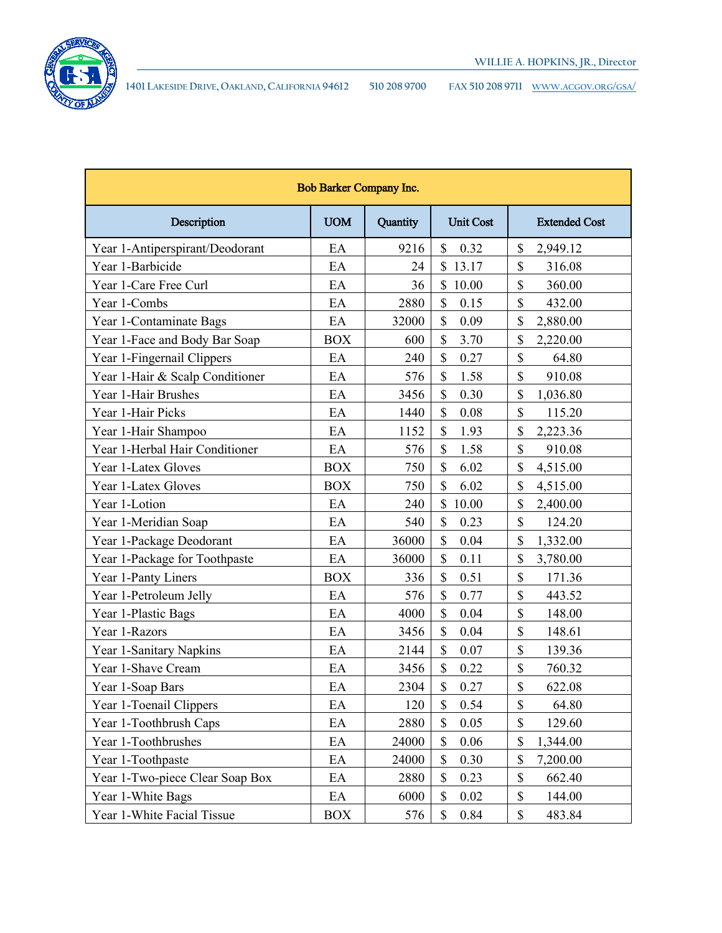

**1401 LAKESIDE DRIVE, OAKLAND, CALIFORNIA 94612 510 208 9700 FAX 510 208 9711 [WWW.ACGOV.ORG/GSA/](http://www.acgov.org/gsa/)**

| <b>Bob Barker Company Inc.</b>  |            |          |                       |                      |  |
|---------------------------------|------------|----------|-----------------------|----------------------|--|
| Description                     | <b>UOM</b> | Quantity | <b>Unit Cost</b>      | <b>Extended Cost</b> |  |
| Year 1-Antiperspirant/Deodorant | EA         | 9216     | $\mathcal{S}$<br>0.32 | \$<br>2,949.12       |  |
| Year 1-Barbicide                | EA         | 24       | $\mathbb{S}$<br>13.17 | \$<br>316.08         |  |
| Year 1-Care Free Curl           | EA         | 36       | $\mathbb{S}$<br>10.00 | \$<br>360.00         |  |
| Year 1-Combs                    | EA         | 2880     | \$<br>0.15            | \$<br>432.00         |  |
| Year 1-Contaminate Bags         | EA         | 32000    | \$<br>0.09            | \$<br>2,880.00       |  |
| Year 1-Face and Body Bar Soap   | <b>BOX</b> | 600      | \$<br>3.70            | \$<br>2,220.00       |  |
| Year 1-Fingernail Clippers      | EA         | 240      | \$<br>0.27            | \$<br>64.80          |  |
| Year 1-Hair & Scalp Conditioner | EA         | 576      | \$<br>1.58            | \$<br>910.08         |  |
| Year 1-Hair Brushes             | EA         | 3456     | \$<br>0.30            | \$<br>1,036.80       |  |
| Year 1-Hair Picks               | EA         | 1440     | \$<br>0.08            | \$<br>115.20         |  |
| Year 1-Hair Shampoo             | EA         | 1152     | \$<br>1.93            | \$<br>2,223.36       |  |
| Year 1-Herbal Hair Conditioner  | EA         | 576      | \$<br>1.58            | \$<br>910.08         |  |
| Year 1-Latex Gloves             | <b>BOX</b> | 750      | \$<br>6.02            | \$<br>4,515.00       |  |
| Year 1-Latex Gloves             | <b>BOX</b> | 750      | $\mathbb{S}$<br>6.02  | \$<br>4,515.00       |  |
| Year 1-Lotion                   | EA         | 240      | $\mathbb{S}$<br>10.00 | \$<br>2,400.00       |  |
| Year 1-Meridian Soap            | EA         | 540      | $\mathcal{S}$<br>0.23 | \$<br>124.20         |  |
| Year 1-Package Deodorant        | EA         | 36000    | \$<br>0.04            | \$<br>1,332.00       |  |
| Year 1-Package for Toothpaste   | EA         | 36000    | \$<br>0.11            | \$<br>3,780.00       |  |
| Year 1-Panty Liners             | <b>BOX</b> | 336      | \$<br>0.51            | \$<br>171.36         |  |
| Year 1-Petroleum Jelly          | EA         | 576      | \$<br>0.77            | \$<br>443.52         |  |
| Year 1-Plastic Bags             | EA         | 4000     | \$<br>0.04            | \$<br>148.00         |  |
| Year 1-Razors                   | EA         | 3456     | \$<br>0.04            | \$<br>148.61         |  |
| Year 1-Sanitary Napkins         | EA         | 2144     | \$<br>0.07            | \$<br>139.36         |  |
| Year 1-Shave Cream              | EA         | 3456     | \$<br>0.22            | \$<br>760.32         |  |
| Year 1-Soap Bars                | EA         | 2304     | \$<br>0.27            | \$<br>622.08         |  |
| Year 1-Toenail Clippers         | EA         | 120      | \$<br>0.54            | \$<br>64.80          |  |
| Year 1-Toothbrush Caps          | EA         | 2880     | $\mathbb{S}$<br>0.05  | \$<br>129.60         |  |
| Year 1-Toothbrushes             | EA         | 24000    | \$<br>0.06            | \$<br>1,344.00       |  |
| Year 1-Toothpaste               | EA         | 24000    | \$<br>0.30            | \$<br>7,200.00       |  |
| Year 1-Two-piece Clear Soap Box | EA         | 2880     | \$<br>0.23            | \$<br>662.40         |  |
| Year 1-White Bags               | EA         | 6000     | \$<br>0.02            | \$<br>144.00         |  |
| Year 1-White Facial Tissue      | <b>BOX</b> | 576      | \$<br>0.84            | \$<br>483.84         |  |